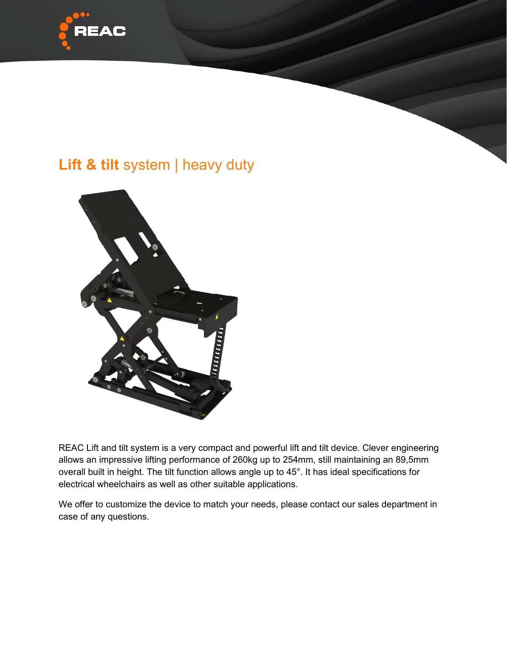

## **Lift & tilt** system | heavy duty



REAC Lift and tilt system is a very compact and powerful lift and tilt device. Clever engineering allows an impressive lifting performance of 260kg up to 254mm, still maintaining an 89,5mm overall built in height. The tilt function allows angle up to 45°. It has ideal specifications for electrical wheelchairs as well as other suitable applications.

We offer to customize the device to match your needs, please contact our sales department in case of any questions.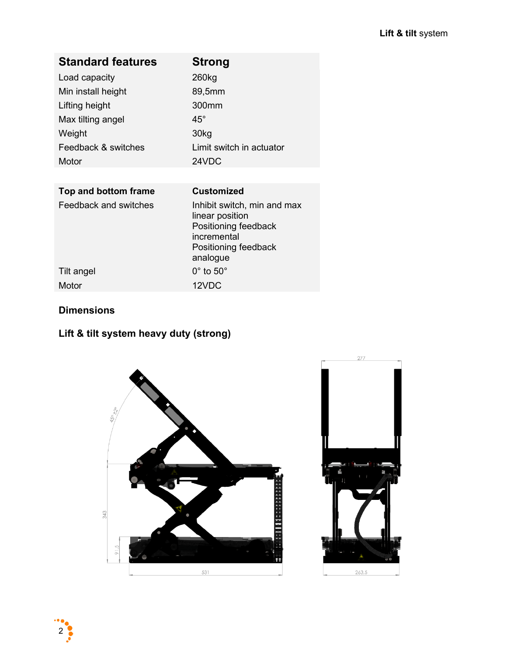| <b>Standard features</b> | <b>Strong</b>                                                                                                             |
|--------------------------|---------------------------------------------------------------------------------------------------------------------------|
| Load capacity            | 260 <sub>kg</sub>                                                                                                         |
| Min install height       | 89,5mm                                                                                                                    |
| Lifting height           | 300mm                                                                                                                     |
| Max tilting angel        | $45^{\circ}$                                                                                                              |
| Weight                   | 30 <sub>kg</sub>                                                                                                          |
| Feedback & switches      | Limit switch in actuator                                                                                                  |
| Motor                    | 24VDC                                                                                                                     |
|                          |                                                                                                                           |
| Top and bottom frame     | <b>Customized</b>                                                                                                         |
| Feedback and switches    | Inhibit switch, min and max<br>linear position<br>Positioning feedback<br>incremental<br>Positioning feedback<br>analogue |
| Tilt angel               | $0^\circ$ to $50^\circ$                                                                                                   |
| Motor                    | 12VDC                                                                                                                     |

## **Dimensions**

## **Lift & tilt system heavy duty (strong)**